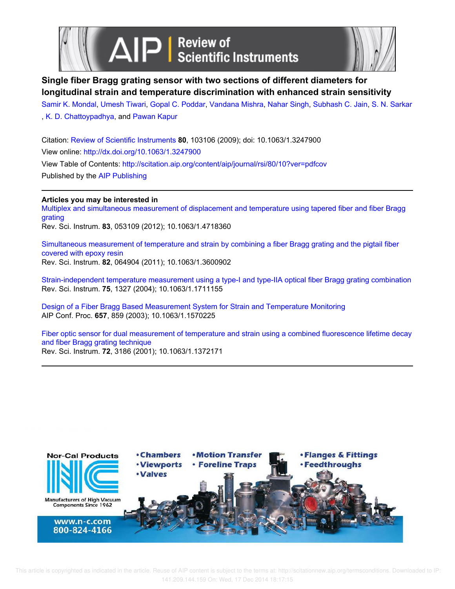



## **Single fiber Bragg grating sensor with two sections of different diameters for longitudinal strain and temperature discrimination with enhanced strain sensitivity**

Samir K. Mondal, Umesh Tiwari, Gopal C. Poddar, Vandana Mishra, Nahar Singh, Subhash C. Jain, S. N. Sarkar , K. D. Chattoypadhya, and Pawan Kapur

Citation: Review of Scientific Instruments **80**, 103106 (2009); doi: 10.1063/1.3247900 View online: http://dx.doi.org/10.1063/1.3247900 View Table of Contents: http://scitation.aip.org/content/aip/journal/rsi/80/10?ver=pdfcov Published by the AIP Publishing

### **Articles you may be interested in**

Multiplex and simultaneous measurement of displacement and temperature using tapered fiber and fiber Bragg grating

Rev. Sci. Instrum. **83**, 053109 (2012); 10.1063/1.4718360

Simultaneous measurement of temperature and strain by combining a fiber Bragg grating and the pigtail fiber covered with epoxy resin Rev. Sci. Instrum. **82**, 064904 (2011); 10.1063/1.3600902

Strain-independent temperature measurement using a type-I and type-IIA optical fiber Bragg grating combination Rev. Sci. Instrum. **75**, 1327 (2004); 10.1063/1.1711155

Design of a Fiber Bragg Based Measurement System for Strain and Temperature Monitoring AIP Conf. Proc. **657**, 859 (2003); 10.1063/1.1570225

Fiber optic sensor for dual measurement of temperature and strain using a combined fluorescence lifetime decay and fiber Bragg grating technique Rev. Sci. Instrum. **72**, 3186 (2001); 10.1063/1.1372171



 This article is copyrighted as indicated in the article. Reuse of AIP content is subject to the terms at: http://scitationnew.aip.org/termsconditions. Downloaded to IP: 141.209.144.159 On: Wed, 17 Dec 2014 18:17:15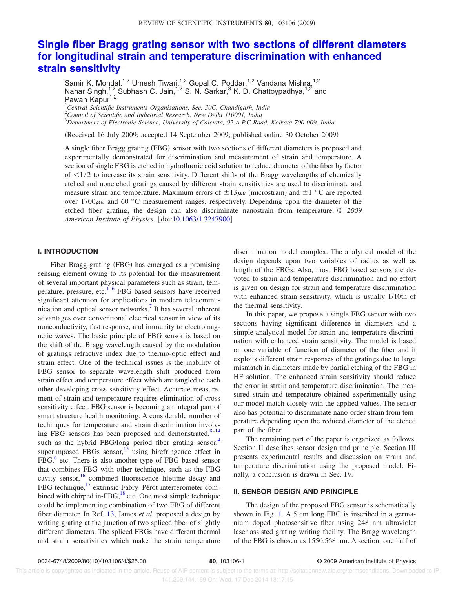# **Single fiber Bragg grating sensor with two sections of different diameters for longitudinal strain and temperature discrimination with enhanced strain sensitivity**

Samir K. Mondal,<sup>1,2</sup> Umesh Tiwari,<sup>1,2</sup> Gopal C. Poddar,<sup>1,2</sup> Vandana Mishra,<sup>1,2</sup> Nahar Singh,<sup>1,2</sup> Subhash C. Jain,<sup>1,2</sup> S. N. Sarkar,<sup>3</sup> K. D. Chattoypadhya,<sup>1,2</sup> and Pawan Kapur<sup>1,2</sup>

<sup>1</sup>*Central Scientific Instruments Organisations, Sec.-30C, Chandigarh, India*

<sup>2</sup>*Council of Scientific and Industrial Research, New Delhi 110001, India*

<sup>3</sup>*Department of Electronic Science, University of Calcutta, 92-A.P.C Road, Kolkata 700 009, India*

(Received 16 July 2009; accepted 14 September 2009; published online 30 October 2009)

A single fiber Bragg grating (FBG) sensor with two sections of different diameters is proposed and experimentally demonstrated for discrimination and measurement of strain and temperature. A section of single FBG is etched in hydrofluoric acid solution to reduce diameter of the fiber by factor of  $\leq$ 1/2 to increase its strain sensitivity. Different shifts of the Bragg wavelengths of chemically etched and nonetched gratings caused by different strain sensitivities are used to discriminate and measure strain and temperature. Maximum errors of  $\pm 13\mu\varepsilon$  (microstrain) and  $\pm 1$  °C are reported over 1700 $\mu$  and 60 °C measurement ranges, respectively. Depending upon the diameter of the etched fiber grating, the design can also discriminate nanostrain from temperature. *© 2009* American Institute of Physics. [doi:10.1063/1.3247900]

#### **I. INTRODUCTION**

Fiber Bragg grating (FBG) has emerged as a promising sensing element owing to its potential for the measurement of several important physical parameters such as strain, temperature, pressure, etc.<sup>1-6</sup> FBG based sensors have received significant attention for applications in modern telecommunication and optical sensor networks.<sup>7</sup> It has several inherent advantages over conventional electrical sensor in view of its nonconductivity, fast response, and immunity to electromagnetic waves. The basic principle of FBG sensor is based on the shift of the Bragg wavelength caused by the modulation of gratings refractive index due to thermo-optic effect and strain effect. One of the technical issues is the inability of FBG sensor to separate wavelength shift produced from strain effect and temperature effect which are tangled to each other developing cross sensitivity effect. Accurate measurement of strain and temperature requires elimination of cross sensitivity effect. FBG sensor is becoming an integral part of smart structure health monitoring. A considerable number of techniques for temperature and strain discrimination involving FBG sensors has been proposed and demonstrated, $8-14$ such as the hybrid FBG/long period fiber grating sensor, $4\overline{4}$ superimposed FBGs sensor,<sup>15</sup> using birefringence effect in FBG,<sup>6</sup> etc. There is also another type of FBG based sensor that combines FBG with other technique, such as the FBG cavity sensor,<sup>16</sup> combined fluorescence lifetime decay and FBG technique,<sup>17</sup> extrinsic Fabry–Pérot interferometer combined with chirped in-FBG, $^{18}$  etc. One most simple technique could be implementing combination of two FBG of different fiber diameter. In Ref. 13, James *et al.* proposed a design by writing grating at the junction of two spliced fiber of slightly different diameters. The spliced FBGs have different thermal and strain sensitivities which make the strain temperature discrimination model complex. The analytical model of the design depends upon two variables of radius as well as length of the FBGs. Also, most FBG based sensors are devoted to strain and temperature discrimination and no effort is given on design for strain and temperature discrimination with enhanced strain sensitivity, which is usually 1/10th of the thermal sensitivity.

In this paper, we propose a single FBG sensor with two sections having significant difference in diameters and a simple analytical model for strain and temperature discrimination with enhanced strain sensitivity. The model is based on one variable of function of diameter of the fiber and it exploits different strain responses of the gratings due to large mismatch in diameters made by partial etching of the FBG in HF solution. The enhanced strain sensitivity should reduce the error in strain and temperature discrimination. The measured strain and temperature obtained experimentally using our model match closely with the applied values. The sensor also has potential to discriminate nano-order strain from temperature depending upon the reduced diameter of the etched part of the fiber.

The remaining part of the paper is organized as follows. Section II describes sensor design and principle. Section III presents experimental results and discussion on strain and temperature discrimination using the proposed model. Finally, a conclusion is drawn in Sec. IV.

#### **II. SENSOR DESIGN AND PRINCIPLE**

The design of the proposed FBG sensor is schematically shown in Fig. 1. A 5 cm long FBG is inscribed in a germanium doped photosensitive fiber using 248 nm ultraviolet laser assisted grating writing facility. The Bragg wavelength of the FBG is chosen as 1550.568 nm. A section, one half of

 This article is copyrighted as indicated in the article. Reuse of AIP content is subject to the terms at: http://scitationnew.aip.org/termsconditions. Downloaded to IP: 141.209.144.159 On: Wed, 17 Dec 2014 18:17:15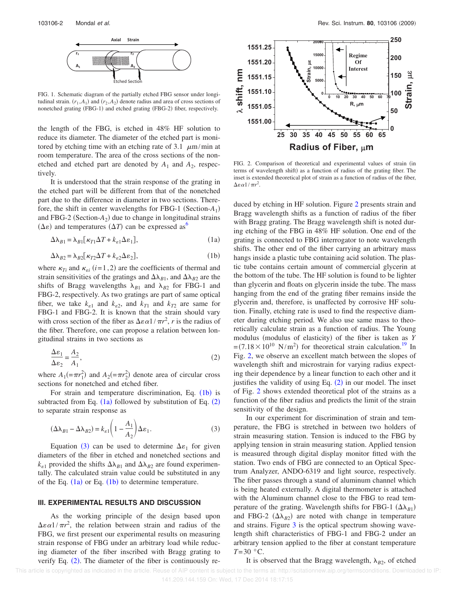

FIG. 1. Schematic diagram of the partially etched FBG sensor under longitudinal strain.  $(r_1, A_1)$  and  $(r_2, A_2)$  denote radius and area of cross sections of nonetched grating (FBG-1) and etched grating (FBG-2) fiber, respectively.

the length of the FBG, is etched in 48% HF solution to reduce its diameter. The diameter of the etched part is monitored by etching time with an etching rate of 3.1  $\mu$ m/min at room temperature. The area of the cross sections of the nonetched and etched part are denoted by  $A_1$  and  $A_2$ , respectively.

It is understood that the strain response of the grating in the etched part will be different from that of the nonetched part due to the difference in diameter in two sections. Therefore, the shift in center wavelengths for FBG-1 (Section- $A_1$ ) and FBG-2 (Section- $A_2$ ) due to change in longitudinal strains  $(\Delta \varepsilon)$  and temperatures  $(\Delta T)$  can be expressed as<sup>6</sup>

$$
\Delta \lambda_{B1} = \lambda_{B1} [\kappa_{T1} \Delta T + k_{\varepsilon 1} \Delta \varepsilon_1], \tag{1a}
$$

$$
\Delta\lambda_{B2} = \lambda_{B2} [\kappa_{T2} \Delta T + k_{\varepsilon 2} \Delta \varepsilon_2],
$$
\n(1b)

where  $\kappa_{Ti}$  and  $\kappa_{ei}$  (*i*=1,2) are the coefficients of thermal and strain sensitivities of the gratings and  $\Delta\lambda_{B1}$ , and  $\Delta\lambda_{B2}$  are the shifts of Bragg wavelengths  $\lambda_{B1}$  and  $\lambda_{B2}$  for FBG-1 and FBG-2, respectively. As two gratings are part of same optical fiber, we take  $k_{\varepsilon_1}$  and  $k_{\varepsilon_2}$ , and  $k_{T1}$  and  $k_{T2}$  are same for FBG-1 and FBG-2. It is known that the strain should vary with cross section of the fiber as  $\Delta \epsilon \alpha 1/\pi r^2$ , *r* is the radius of the fiber. Therefore, one can propose a relation between longitudinal strains in two sections as

$$
\frac{\Delta \varepsilon_1}{\Delta \varepsilon_2} = \frac{A_2}{A_1},\tag{2}
$$

where  $A_1$ (= $\pi r_1^2$ ) and  $A_2$ (= $\pi r_2^2$ ) denote area of circular cross sections for nonetched and etched fiber.

For strain and temperature discrimination, Eq.  $(1b)$  is subtracted from Eq.  $(1a)$  followed by substitution of Eq.  $(2)$ to separate strain response as

$$
(\Delta \lambda_{B1} - \Delta \lambda_{B2}) = k_{\varepsilon 1} \left( 1 - \frac{A_1}{A_2} \right) \Delta \varepsilon_1.
$$
 (3)

Equation (3) can be used to determine  $\Delta \varepsilon_1$  for given diameters of the fiber in etched and nonetched sections and  $k_{\varepsilon 1}$  provided the shifts  $\Delta\lambda_{B1}$  and  $\Delta\lambda_{B2}$  are found experimentally. The calculated strain value could be substituted in any of the Eq.  $(1a)$  or Eq.  $(1b)$  to determine temperature.

#### **III. EXPERIMENTAL RESULTS AND DISCUSSION**

As the working principle of the design based upon  $\Delta \varepsilon \alpha 1/\pi r^2$ , the relation between strain and radius of the FBG, we first present our experimental results on measuring strain response of FBG under an arbitrary load while reducing diameter of the fiber inscribed with Bragg grating to verify Eq.  $(2)$ . The diameter of the fiber is continuously re-



FIG. 2. Comparison of theoretical and experimental values of strain (in terms of wavelength shift) as a function of radius of the grating fiber. The inset is extended theoretical plot of strain as a function of radius of the fiber,  $\Delta \varepsilon \alpha$ 1/ $\pi r^2$ .

duced by etching in HF solution. Figure 2 presents strain and Bragg wavelength shifts as a function of radius of the fiber with Bragg grating. The Bragg wavelength shift is noted during etching of the FBG in 48% HF solution. One end of the grating is connected to FBG interrogator to note wavelength shifts. The other end of the fiber carrying an arbitrary mass hangs inside a plastic tube containing acid solution. The plastic tube contains certain amount of commercial glycerin at the bottom of the tube. The HF solution is found to be lighter than glycerin and floats on glycerin inside the tube. The mass hanging from the end of the grating fiber remains inside the glycerin and, therefore, is unaffected by corrosive HF solution. Finally, etching rate is used to find the respective diameter during etching period. We also use same mass to theoretically calculate strain as a function of radius. The Young modulus (modulus of elasticity) of the fiber is taken as *Y*  $=(7.18 \times 10^{10} \text{ N/m}^2)$  for theoretical strain calculation.<sup>19</sup> In Fig. 2, we observe an excellent match between the slopes of wavelength shift and microstrain for varying radius expecting their dependence by a linear function to each other and it justifies the validity of using Eq.  $(2)$  in our model. The inset of Fig. 2 shows extended theoretical plot of the strains as a function of the fiber radius and predicts the limit of the strain sensitivity of the design.

In our experiment for discrimination of strain and temperature, the FBG is stretched in between two holders of strain measuring station. Tension is induced to the FBG by applying tension in strain measuring station. Applied tension is measured through digital display monitor fitted with the station. Two ends of FBG are connected to an Optical Spectrum Analyzer, ANDO-6319 and light source, respectively. The fiber passes through a stand of aluminum channel which is being heated externally. A digital thermometer is attached with the Aluminum channel close to the FBG to read temperature of the grating. Wavelength shifts for FBG-1  $(\Delta \lambda_{B1})$ and FBG-2  $(\Delta \lambda_{B2})$  are noted with change in temperature and strains. Figure 3 is the optical spectrum showing wavelength shift characteristics of FBG-1 and FBG-2 under an arbitrary tension applied to the fiber at constant temperature *T*=30 °C.

It is observed that the Bragg wavelength,  $\lambda_{B2}$ , of etched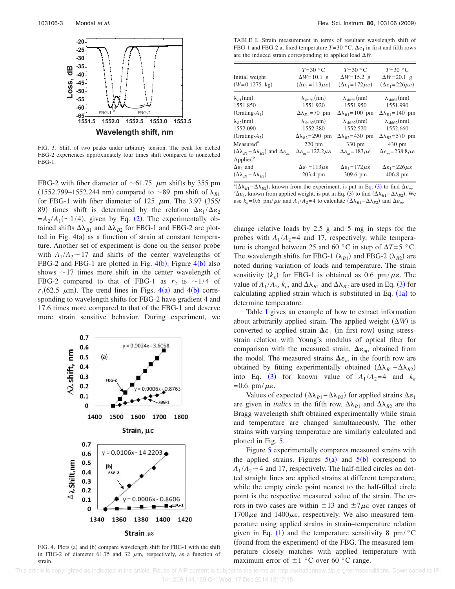

FIG. 3. Shift of two peaks under arbitrary tension. The peak for etched FBG-2 experiences approximately four times shift compared to nonetched FBG-1.

FBG-2 with fiber diameter of  $\sim 61.75$   $\mu$ m shifts by 355 pm  $(1552.799 - 1552.244 \text{ nm})$  compared to  $\sim 89$  pm shift of  $\lambda_{B1}$ for FBG-1 with fiber diameter of 125  $\mu$ m. The 3.97 (355/ 89) times shift is determined by the relation  $\Delta \epsilon_1 / \Delta \epsilon_2$  $=A_2/A_1(\sim 1/4)$ , given by Eq. (2). The experimentally obtained shifts  $\Delta\lambda_{B1}$  and  $\Delta\lambda_{B2}$  for FBG-1 and FBG-2 are plotted in Fig.  $4(a)$  as a function of strain at constant temperature. Another set of experiment is done on the sensor probe with  $A_1/A_2 \sim 17$  and shifts of the center wavelengths of FBG-2 and FBG-1 are plotted in Fig.  $4(b)$ . Figure  $4(b)$  also shows  $\sim$ 17 times more shift in the center wavelength of FBG-2 compared to that of FBG-1 as  $r_2$  is  $\sim$ 1/4 of  $r_1(62.5 \mu m)$ . The trend lines in Figs. 4(a) and 4(b) corresponding to wavelength shifts for FBG-2 have gradient 4 and 17.6 times more compared to that of the FBG-1 and deserve more strain sensitive behavior. During experiment, we



FIG. 4. Plots (a) and (b) compare wavelength shift for FBG-1 with the shift in FBG-2 of diameter 61.75 and 32  $\mu$ m, respectively, as a function of strain.

TABLE I. Strain measurement in terms of resultant wavelength shift of FBG-1 and FBG-2 at fixed temperature  $T=30$  °C.  $\Delta \varepsilon_1$  in first and fifth rows are the induced strain corresponding to applied load  $\Delta W$ .

| Initial weight<br>$(W=0.1275 \text{ kg})$                                                         | $T=30$ °C<br>$\Delta W = 10.1$ g<br>$(\Delta \varepsilon_1 = 113 \mu \varepsilon)$ | $T=30$ °C<br>$\Delta W = 15.2$ g<br>$(\Delta \varepsilon_1 = 172 \mu \varepsilon)$ | $T=30$ °C<br>$\Delta W = 20.1$ g<br>$(\Delta \varepsilon_1 = 226 \mu \varepsilon)$ |
|---------------------------------------------------------------------------------------------------|------------------------------------------------------------------------------------|------------------------------------------------------------------------------------|------------------------------------------------------------------------------------|
| $\lambda_{B1}$ (nm)                                                                               | $\lambda_{\text{shift1}}(nm)$                                                      | $\lambda_{\text{shift1}}(nm)$                                                      | $\lambda_{\text{shift1}}(nm)$                                                      |
| 1551.850                                                                                          | 1551.920                                                                           | 1551.950                                                                           | 1551.990                                                                           |
| $(Grating-A_1)$                                                                                   | $\Delta\lambda_{B1}$ =70 pm                                                        | $\Delta\lambda_{R1} = 100$ pm                                                      | $\Delta\lambda_{R1} = 140$ pm                                                      |
| $\lambda_{R2}(nm)$                                                                                | $\lambda_{\text{shift2}}(nm)$                                                      | $\lambda_{\text{shift2}}(nm)$                                                      | $\lambda_{\text{shift2}}(nm)$                                                      |
| 1552.090                                                                                          | 1552.380                                                                           | 1552.520                                                                           | 1552.660                                                                           |
| $(Grating-A2)$                                                                                    | $\Delta\lambda_{B2} = 290$ pm                                                      | $\Delta\lambda_{B2}$ =430 pm                                                       | $\Delta\lambda_{B2} = 570$ pm                                                      |
| Measured <sup>a</sup>                                                                             | $220 \text{ pm}$                                                                   | $330 \text{ pm}$                                                                   | 430 pm                                                                             |
| $(\Delta\lambda_{R1} - \Delta\lambda_{R2})$ and $\Delta\varepsilon_m$                             | $\Delta \varepsilon_m = 122.2 \mu \varepsilon$                                     | $\Delta \varepsilon_m = 183 \mu \varepsilon$                                       | $\Delta \varepsilon_m = 238.8 \mu \varepsilon$                                     |
| Applied <sup>b</sup><br>$\Delta \varepsilon_1$ and<br>$(\Delta\lambda_{B1} - \Delta\lambda_{B2})$ | $\Delta \varepsilon_1 = 113 \mu \varepsilon$<br>203.4 pm                           | $\Delta \varepsilon_1 = 172 \mu \varepsilon$<br>$309.6 \text{ pm}$                 | $\Delta \varepsilon_1 = 226 \mu \varepsilon$<br>$406.8$ pm                         |

 $\frac{a_1}{b_1}(\Delta\lambda_{B1}-\Delta\lambda_{B2})$ , known from the experiment, is put in Eq. (3) to find  $\Delta\varepsilon_m$ .  $b^b$  $\Delta \varepsilon_1$ , known from applied weight, is put in Eq. (3) to find  $(\Delta \lambda_{B1} - \Delta \lambda_{B2})$ . We use  $k<sub>ε</sub> = 0.6$  pm/ $\mu \epsilon$  and  $A_1/A_2 = 4$  to calculate  $(Δλ<sub>B1</sub> − Δλ<sub>B2</sub>)$  and  $Δε<sub>m</sub>$ .

change relative loads by 2.5 g and 5 mg in steps for the probes with  $A_1/A_2 = 4$  and 17, respectively, while temperature is changed between 25 and 60  $\degree$ C in step of  $\Delta T = 5 \degree$ C. The wavelength shifts for FBG-1  $(\lambda_{B1})$  and FBG-2  $(\lambda_{B2})$  are noted during variation of loads and temperature. The strain sensitivity  $(k_e)$  for FBG-1 is obtained as 0.6 pm/ $\mu$ *e*. The value of  $A_1/A_2$ ,  $k_e$ , and  $\Delta\lambda_{B1}$  and  $\Delta\lambda_{B2}$  are used in Eq. (3) for calculating applied strain which is substituted in Eq.  $(1a)$  to determine temperature.

Table I gives an example of how to extract information about arbitrarily applied strain. The applied weight  $(\Delta W)$  is converted to applied strain  $\Delta \varepsilon_1$  (in first row) using stressstrain relation with Young's modulus of optical fiber for comparison with the measured strain,  $\Delta \varepsilon_m$ , obtained from the model. The measured strains  $\Delta \varepsilon_m$  in the fourth row are obtained by fitting experimentally obtained  $(Δλ<sub>B1</sub>−Δλ<sub>B2</sub>)$ into Eq. (3) for known value of  $A_1/A_2 = 4$  and  $k_{\varepsilon}$  $=0.6$  pm/ $\mu\epsilon$ .

Values of expected  $(\Delta \lambda_{B1} - \Delta \lambda_{B2})$  for applied strains  $\Delta \varepsilon_1$ are given in *italics* in the fifth row.  $\Delta\lambda_{B1}$  and  $\Delta\lambda_{B2}$  are the Bragg wavelength shift obtained experimentally while strain and temperature are changed simultaneously. The other strains with varying temperature are similarly calculated and plotted in Fig. 5.

Figure 5 experimentally compares measured strains with the applied strains. Figures  $5(a)$  and  $5(b)$  correspond to  $A_1/A_2 \sim 4$  and 17, respectively. The half-filled circles on dotted straight lines are applied strains at different temperature, while the empty circle point nearest to the half-filled circle point is the respective measured value of the strain. The errors in two cases are within  $\pm 13$  and  $\pm 7\mu\varepsilon$  over ranges of  $1700 \mu \varepsilon$  and  $1400 \mu \varepsilon$ , respectively. We also measured temperature using applied strains in strain–temperature relation given in Eq. (1) and the temperature sensitivity 8 pm/ $\degree$ C (found from the experiment) of the FBG. The measured temperature closely matches with applied temperature with maximum error of  $\pm 1$  °C over 60 °C range.

 This article is copyrighted as indicated in the article. Reuse of AIP content is subject to the terms at: http://scitationnew.aip.org/termsconditions. Downloaded to IP: 141.209.144.159 On: Wed, 17 Dec 2014 18:17:15